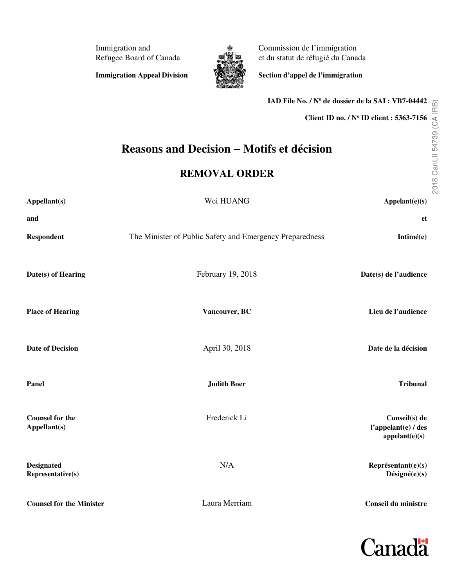Immigration and Refugee Board of Canada

**Immigration Appeal Division** 



Commission de l'immigration et du statut de réfugié du Canada

**Section d'appel de l'immigration** 

**Client ID no. / N<sup>o</sup> ID client : 5363-7156 Reasons and Decision** − **Motifs et décision REMOVAL ORDER Appellant(s)** Wei HUANG **Appelant(e)(s) and et Respondent** The Minister of Public Safety and Emergency Preparedness **Intimé(e) Date(s) of Hearing** February 19, 2018 **Date(s) de l'audience Place of Hearing Vancouver, BC Lieu de l'audience Date of Decision Date de la décision April 30, 2018 Date de la décision Date de la décision Panel Judith Boer Tribunal Counsel for the Counsel for the Conseil(s)** de **Frederick Li Conseil(s)** de **Conseil**(s) de **Appellant(s) l'appelant(e) / des Designated Representative(s)** N/A **Représentant(e)(s) Counsel for the Minister** Laura Merriam **Conseil du ministre**



**appelant(e)(s)**

**Désigné(e)(s)**

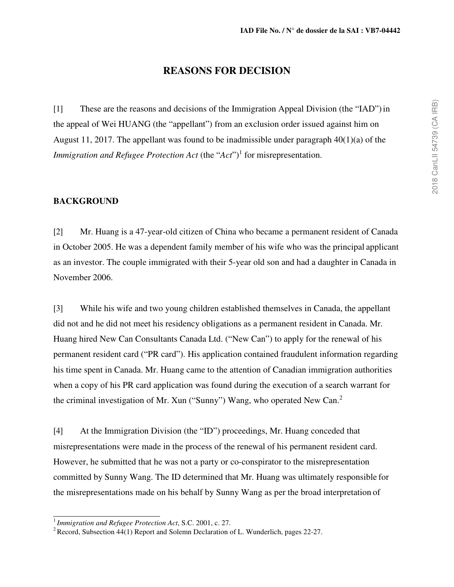# **REASONS FOR DECISION**

[1] These are the reasons and decisions of the Immigration Appeal Division (the "IAD") in the appeal of Wei HUANG (the "appellant") from an exclusion order issued against him on August 11, 2017. The appellant was found to be inadmissible under paragraph  $40(1)(a)$  of the *Immigration and Refugee Protection Act* (the "*Act*")<sup>1</sup> for misrepresentation.

### **BACKGROUND**

[2] Mr. Huang is a 47-year-old citizen of China who became a permanent resident of Canada in October 2005. He was a dependent family member of his wife who was the principal applicant as an investor. The couple immigrated with their 5-year old son and had a daughter in Canada in November 2006.

[3] While his wife and two young children established themselves in Canada, the appellant did not and he did not meet his residency obligations as a permanent resident in Canada. Mr. Huang hired New Can Consultants Canada Ltd. ("New Can") to apply for the renewal of his permanent resident card ("PR card"). His application contained fraudulent information regarding his time spent in Canada. Mr. Huang came to the attention of Canadian immigration authorities when a copy of his PR card application was found during the execution of a search warrant for the criminal investigation of Mr. Xun ("Sunny") Wang, who operated New Can.<sup>2</sup>

[4] At the Immigration Division (the "ID") proceedings, Mr. Huang conceded that misrepresentations were made in the process of the renewal of his permanent resident card. However, he submitted that he was not a party or co-conspirator to the misrepresentation committed by Sunny Wang. The ID determined that Mr. Huang was ultimately responsible for the misrepresentations made on his behalf by Sunny Wang as per the broad interpretation of

<sup>1</sup>*Immigration and Refugee Protection Act*, S.C. 2001, c. 27.

<sup>&</sup>lt;sup>2</sup> Record, Subsection  $44(1)$  Report and Solemn Declaration of L. Wunderlich, pages 22-27.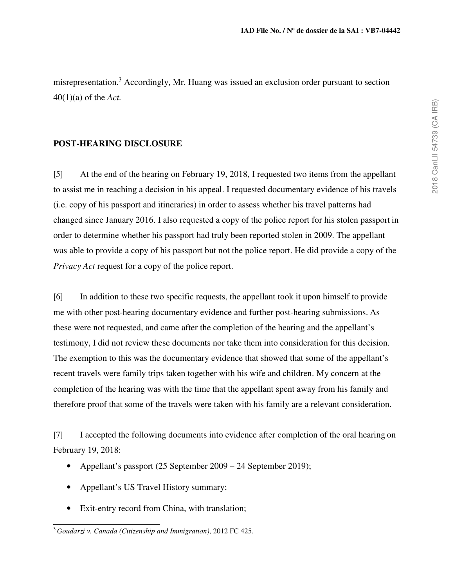misrepresentation.<sup>3</sup> Accordingly, Mr. Huang was issued an exclusion order pursuant to section 40(1)(a) of the *Act.* 

# **POST-HEARING DISCLOSURE**

[5] At the end of the hearing on February 19, 2018, I requested two items from the appellant to assist me in reaching a decision in his appeal. I requested documentary evidence of his travels (i.e. copy of his passport and itineraries) in order to assess whether his travel patterns had changed since January 2016. I also requested a copy of the police report for his stolen passport in order to determine whether his passport had truly been reported stolen in 2009. The appellant was able to provide a copy of his passport but not the police report. He did provide a copy of the *Privacy Act request for a copy of the police report.* 

[6] In addition to these two specific requests, the appellant took it upon himself to provide me with other post-hearing documentary evidence and further post-hearing submissions. As these were not requested, and came after the completion of the hearing and the appellant's testimony, I did not review these documents nor take them into consideration for this decision. The exemption to this was the documentary evidence that showed that some of the appellant's recent travels were family trips taken together with his wife and children. My concern at the completion of the hearing was with the time that the appellant spent away from his family and therefore proof that some of the travels were taken with his family are a relevant consideration.

[7] I accepted the following documents into evidence after completion of the oral hearing on February 19, 2018:

- Appellant's passport (25 September 2009 24 September 2019);
- Appellant's US Travel History summary;
- Exit-entry record from China, with translation;

<sup>3</sup>*Goudarzi v. Canada (Citizenship and Immigration)*, 2012 FC 425.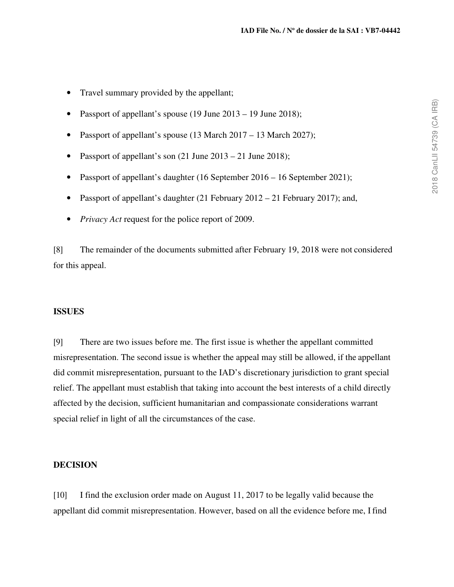- Travel summary provided by the appellant;
- Passport of appellant's spouse (19 June 2013 19 June 2018);
- Passport of appellant's spouse (13 March 2017 13 March 2027);
- Passport of appellant's son  $(21 \text{ June } 2013 21 \text{ June } 2018)$ ;
- Passport of appellant's daughter (16 September 2016 16 September 2021);
- Passport of appellant's daughter (21 February 2012 21 February 2017); and,
- *Privacy Act* request for the police report of 2009.

[8] The remainder of the documents submitted after February 19, 2018 were not considered for this appeal.

### **ISSUES**

[9] There are two issues before me. The first issue is whether the appellant committed misrepresentation. The second issue is whether the appeal may still be allowed, if the appellant did commit misrepresentation, pursuant to the IAD's discretionary jurisdiction to grant special relief. The appellant must establish that taking into account the best interests of a child directly affected by the decision, sufficient humanitarian and compassionate considerations warrant special relief in light of all the circumstances of the case.

### **DECISION**

[10] I find the exclusion order made on August 11, 2017 to be legally valid because the appellant did commit misrepresentation. However, based on all the evidence before me, I find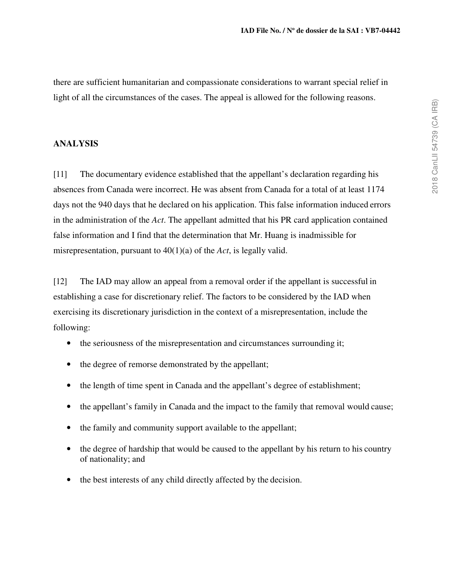there are sufficient humanitarian and compassionate considerations to warrant special relief in light of all the circumstances of the cases. The appeal is allowed for the following reasons.

# **ANALYSIS**

[11] The documentary evidence established that the appellant's declaration regarding his absences from Canada were incorrect. He was absent from Canada for a total of at least 1174 days not the 940 days that he declared on his application. This false information induced errors in the administration of the *Act*. The appellant admitted that his PR card application contained false information and I find that the determination that Mr. Huang is inadmissible for misrepresentation, pursuant to 40(1)(a) of the *Act*, is legally valid.

[12] The IAD may allow an appeal from a removal order if the appellant is successful in establishing a case for discretionary relief. The factors to be considered by the IAD when exercising its discretionary jurisdiction in the context of a misrepresentation, include the following:

- the seriousness of the misrepresentation and circumstances surrounding it;
- the degree of remorse demonstrated by the appellant;
- the length of time spent in Canada and the appellant's degree of establishment;
- the appellant's family in Canada and the impact to the family that removal would cause;
- the family and community support available to the appellant;
- the degree of hardship that would be caused to the appellant by his return to his country of nationality; and
- the best interests of any child directly affected by the decision.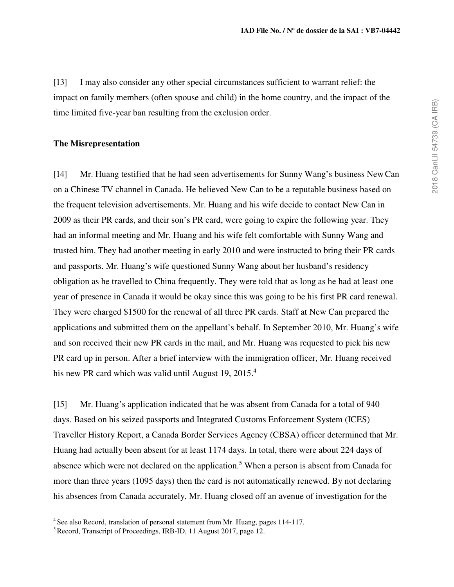[13] I may also consider any other special circumstances sufficient to warrant relief: the impact on family members (often spouse and child) in the home country, and the impact of the time limited five-year ban resulting from the exclusion order.

#### **The Misrepresentation**

[14] Mr. Huang testified that he had seen advertisements for Sunny Wang's business New Can on a Chinese TV channel in Canada. He believed New Can to be a reputable business based on the frequent television advertisements. Mr. Huang and his wife decide to contact New Can in 2009 as their PR cards, and their son's PR card, were going to expire the following year. They had an informal meeting and Mr. Huang and his wife felt comfortable with Sunny Wang and trusted him. They had another meeting in early 2010 and were instructed to bring their PR cards and passports. Mr. Huang's wife questioned Sunny Wang about her husband's residency obligation as he travelled to China frequently. They were told that as long as he had at least one year of presence in Canada it would be okay since this was going to be his first PR card renewal. They were charged \$1500 for the renewal of all three PR cards. Staff at New Can prepared the applications and submitted them on the appellant's behalf. In September 2010, Mr. Huang's wife and son received their new PR cards in the mail, and Mr. Huang was requested to pick his new PR card up in person. After a brief interview with the immigration officer, Mr. Huang received his new PR card which was valid until August 19,  $2015<sup>4</sup>$ 

[15] Mr. Huang's application indicated that he was absent from Canada for a total of 940 days. Based on his seized passports and Integrated Customs Enforcement System (ICES) Traveller History Report, a Canada Border Services Agency (CBSA) officer determined that Mr. Huang had actually been absent for at least 1174 days. In total, there were about 224 days of absence which were not declared on the application.<sup>5</sup> When a person is absent from Canada for more than three years (1095 days) then the card is not automatically renewed. By not declaring his absences from Canada accurately, Mr. Huang closed off an avenue of investigation for the

<sup>&</sup>lt;sup>4</sup> See also Record, translation of personal statement from Mr. Huang, pages 114-117.

<sup>&</sup>lt;sup>5</sup> Record, Transcript of Proceedings, IRB-ID, 11 August 2017, page 12.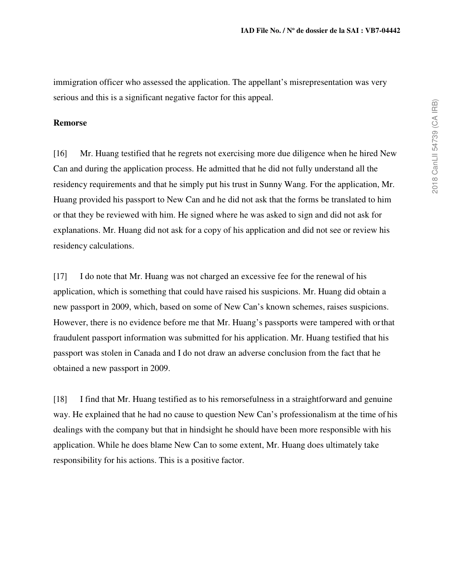immigration officer who assessed the application. The appellant's misrepresentation was very serious and this is a significant negative factor for this appeal.

#### **Remorse**

[16] Mr. Huang testified that he regrets not exercising more due diligence when he hired New Can and during the application process. He admitted that he did not fully understand all the residency requirements and that he simply put his trust in Sunny Wang. For the application, Mr. Huang provided his passport to New Can and he did not ask that the forms be translated to him or that they be reviewed with him. He signed where he was asked to sign and did not ask for explanations. Mr. Huang did not ask for a copy of his application and did not see or review his residency calculations.

[17] I do note that Mr. Huang was not charged an excessive fee for the renewal of his application, which is something that could have raised his suspicions. Mr. Huang did obtain a new passport in 2009, which, based on some of New Can's known schemes, raises suspicions. However, there is no evidence before me that Mr. Huang's passports were tampered with or that fraudulent passport information was submitted for his application. Mr. Huang testified that his passport was stolen in Canada and I do not draw an adverse conclusion from the fact that he obtained a new passport in 2009.

[18] I find that Mr. Huang testified as to his remorsefulness in a straightforward and genuine way. He explained that he had no cause to question New Can's professionalism at the time of his dealings with the company but that in hindsight he should have been more responsible with his application. While he does blame New Can to some extent, Mr. Huang does ultimately take responsibility for his actions. This is a positive factor.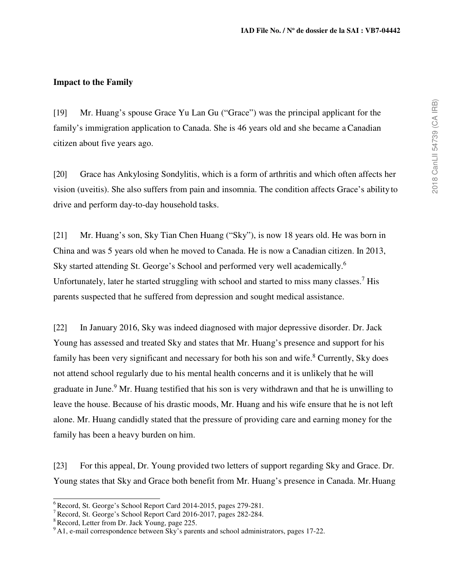### **Impact to the Family**

[19] Mr. Huang's spouse Grace Yu Lan Gu ("Grace") was the principal applicant for the family's immigration application to Canada. She is 46 years old and she became a Canadian citizen about five years ago.

[20] Grace has Ankylosing Sondylitis, which is a form of arthritis and which often affects her vision (uveitis). She also suffers from pain and insomnia. The condition affects Grace's ability to drive and perform day-to-day household tasks.

[21] Mr. Huang's son, Sky Tian Chen Huang ("Sky"), is now 18 years old. He was born in China and was 5 years old when he moved to Canada. He is now a Canadian citizen. In 2013, Sky started attending St. George's School and performed very well academically.<sup>6</sup> Unfortunately, later he started struggling with school and started to miss many classes.<sup>7</sup> His parents suspected that he suffered from depression and sought medical assistance.

[22] In January 2016, Sky was indeed diagnosed with major depressive disorder. Dr. Jack Young has assessed and treated Sky and states that Mr. Huang's presence and support for his family has been very significant and necessary for both his son and wife.<sup>8</sup> Currently, Sky does not attend school regularly due to his mental health concerns and it is unlikely that he will graduate in June.<sup>9</sup> Mr. Huang testified that his son is very withdrawn and that he is unwilling to leave the house. Because of his drastic moods, Mr. Huang and his wife ensure that he is not left alone. Mr. Huang candidly stated that the pressure of providing care and earning money for the family has been a heavy burden on him.

[23] For this appeal, Dr. Young provided two letters of support regarding Sky and Grace. Dr. Young states that Sky and Grace both benefit from Mr. Huang's presence in Canada. Mr. Huang

<sup>&</sup>lt;sup>6</sup> Record, St. George's School Report Card 2014-2015, pages 279-281.

<sup>7</sup>Record, St. George's School Report Card 2016-2017, pages 282-284.

<sup>&</sup>lt;sup>8</sup> Record, Letter from Dr. Jack Young, page 225.

<sup>&</sup>lt;sup>9</sup>A1, e-mail correspondence between Sky's parents and school administrators, pages 17-22.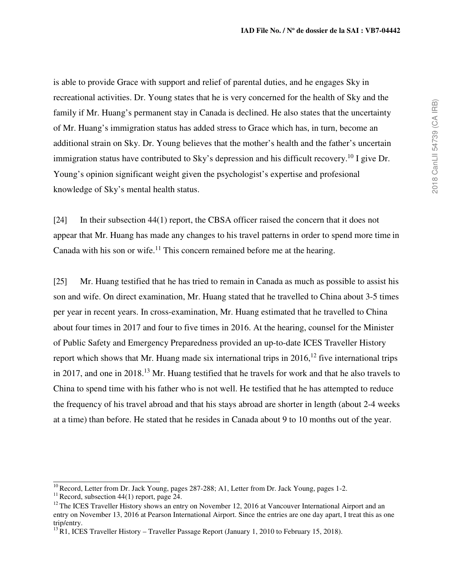is able to provide Grace with support and relief of parental duties, and he engages Sky in recreational activities. Dr. Young states that he is very concerned for the health of Sky and the family if Mr. Huang's permanent stay in Canada is declined. He also states that the uncertainty of Mr. Huang's immigration status has added stress to Grace which has, in turn, become an additional strain on Sky. Dr. Young believes that the mother's health and the father's uncertain immigration status have contributed to Sky's depression and his difficult recovery.<sup>10</sup> I give Dr. Young's opinion significant weight given the psychologist's expertise and profesional knowledge of Sky's mental health status.

[24] In their subsection 44(1) report, the CBSA officer raised the concern that it does not appear that Mr. Huang has made any changes to his travel patterns in order to spend more time in Canada with his son or wife.<sup>11</sup> This concern remained before me at the hearing.

[25] Mr. Huang testified that he has tried to remain in Canada as much as possible to assist his son and wife. On direct examination, Mr. Huang stated that he travelled to China about 3-5 times per year in recent years. In cross-examination, Mr. Huang estimated that he travelled to China about four times in 2017 and four to five times in 2016. At the hearing, counsel for the Minister of Public Safety and Emergency Preparedness provided an up-to-date ICES Traveller History report which shows that Mr. Huang made six international trips in  $2016$ ,<sup>12</sup> five international trips in 2017, and one in 2018.<sup>13</sup> Mr. Huang testified that he travels for work and that he also travels to China to spend time with his father who is not well. He testified that he has attempted to reduce the frequency of his travel abroad and that his stays abroad are shorter in length (about 2-4 weeks at a time) than before. He stated that he resides in Canada about 9 to 10 months out of the year.

<sup>&</sup>lt;sup>10</sup> Record, Letter from Dr. Jack Young, pages 287-288; A1, Letter from Dr. Jack Young, pages 1-2.

<sup>&</sup>lt;sup>11</sup> Record, subsection 44(1) report, page 24.

 $12$  The ICES Traveller History shows an entry on November 12, 2016 at Vancouver International Airport and an entry on November 13, 2016 at Pearson International Airport. Since the entries are one day apart, I treat this as one trip/entry.

 $^{13}$ R1, ICES Traveller History – Traveller Passage Report (January 1, 2010 to February 15, 2018).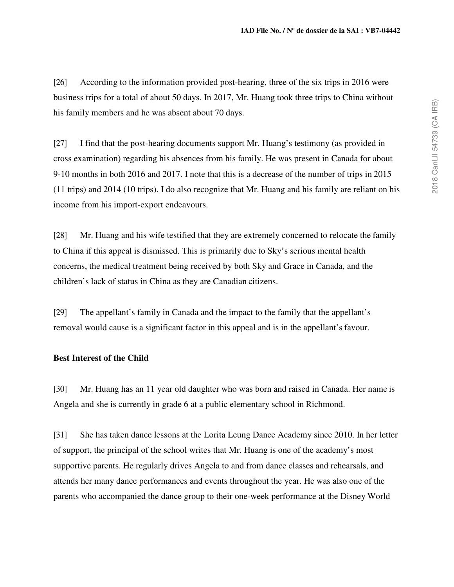[26] According to the information provided post-hearing, three of the six trips in 2016 were business trips for a total of about 50 days. In 2017, Mr. Huang took three trips to China without his family members and he was absent about 70 days.

[27] I find that the post-hearing documents support Mr. Huang's testimony (as provided in cross examination) regarding his absences from his family. He was present in Canada for about 9-10 months in both 2016 and 2017. I note that this is a decrease of the number of trips in 2015 (11 trips) and 2014 (10 trips). I do also recognize that Mr. Huang and his family are reliant on his income from his import-export endeavours.

[28] Mr. Huang and his wife testified that they are extremely concerned to relocate the family to China if this appeal is dismissed. This is primarily due to Sky's serious mental health concerns, the medical treatment being received by both Sky and Grace in Canada, and the children's lack of status in China as they are Canadian citizens.

[29] The appellant's family in Canada and the impact to the family that the appellant's removal would cause is a significant factor in this appeal and is in the appellant's favour.

# **Best Interest of the Child**

[30] Mr. Huang has an 11 year old daughter who was born and raised in Canada. Her name is Angela and she is currently in grade 6 at a public elementary school in Richmond.

[31] She has taken dance lessons at the Lorita Leung Dance Academy since 2010. In her letter of support, the principal of the school writes that Mr. Huang is one of the academy's most supportive parents. He regularly drives Angela to and from dance classes and rehearsals, and attends her many dance performances and events throughout the year. He was also one of the parents who accompanied the dance group to their one-week performance at the Disney World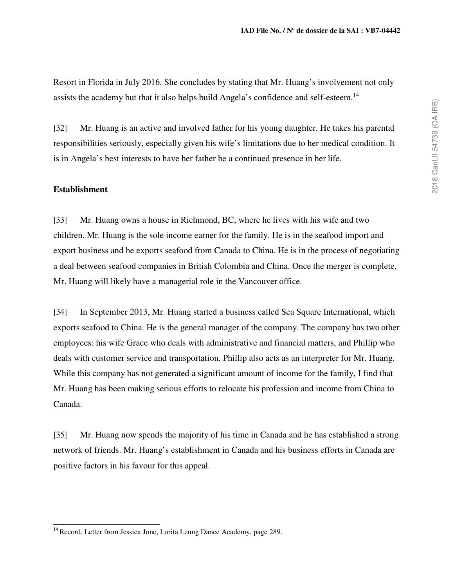Resort in Florida in July 2016. She concludes by stating that Mr. Huang's involvement not only assists the academy but that it also helps build Angela's confidence and self-esteem.<sup>14</sup>

[32] Mr. Huang is an active and involved father for his young daughter. He takes his parental responsibilities seriously, especially given his wife's limitations due to her medical condition. It is in Angela's best interests to have her father be a continued presence in her life.

### **Establishment**

[33] Mr. Huang owns a house in Richmond, BC, where he lives with his wife and two children. Mr. Huang is the sole income earner for the family. He is in the seafood import and export business and he exports seafood from Canada to China. He is in the process of negotiating a deal between seafood companies in British Colombia and China. Once the merger is complete, Mr. Huang will likely have a managerial role in the Vancouver office.

[34] In September 2013, Mr. Huang started a business called Sea Square International, which exports seafood to China. He is the general manager of the company. The company has two other employees: his wife Grace who deals with administrative and financial matters, and Phillip who deals with customer service and transportation. Phillip also acts as an interpreter for Mr. Huang. While this company has not generated a significant amount of income for the family, I find that Mr. Huang has been making serious efforts to relocate his profession and income from China to Canada.

[35] Mr. Huang now spends the majority of his time in Canada and he has established a strong network of friends. Mr. Huang's establishment in Canada and his business efforts in Canada are positive factors in his favour for this appeal.

<sup>&</sup>lt;sup>14</sup> Record, Letter from Jessica Jone, Lorita Leung Dance Academy, page 289.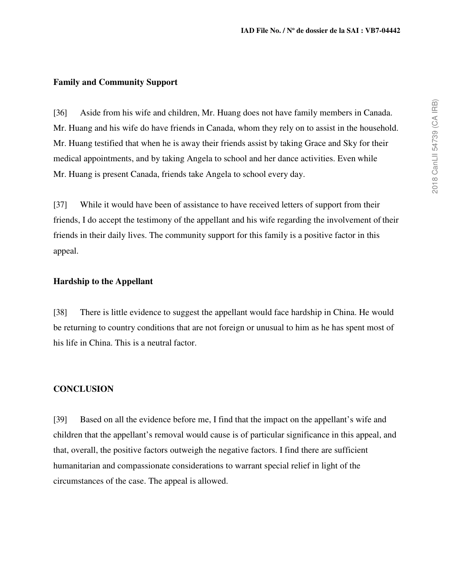#### **Family and Community Support**

[36] Aside from his wife and children, Mr. Huang does not have family members in Canada. Mr. Huang and his wife do have friends in Canada, whom they rely on to assist in the household. Mr. Huang testified that when he is away their friends assist by taking Grace and Sky for their medical appointments, and by taking Angela to school and her dance activities. Even while Mr. Huang is present Canada, friends take Angela to school every day.

[37] While it would have been of assistance to have received letters of support from their friends, I do accept the testimony of the appellant and his wife regarding the involvement of their friends in their daily lives. The community support for this family is a positive factor in this appeal.

#### **Hardship to the Appellant**

[38] There is little evidence to suggest the appellant would face hardship in China. He would be returning to country conditions that are not foreign or unusual to him as he has spent most of his life in China. This is a neutral factor.

### **CONCLUSION**

[39] Based on all the evidence before me, I find that the impact on the appellant's wife and children that the appellant's removal would cause is of particular significance in this appeal, and that, overall, the positive factors outweigh the negative factors. I find there are sufficient humanitarian and compassionate considerations to warrant special relief in light of the circumstances of the case. The appeal is allowed.